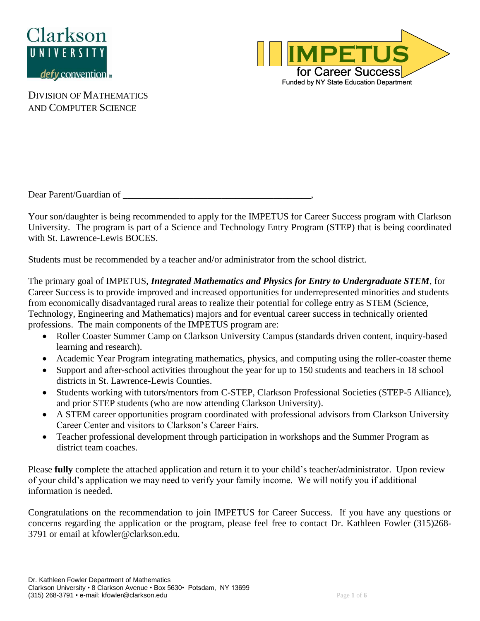



Dear Parent/Guardian of

Your son/daughter is being recommended to apply for the IMPETUS for Career Success program with Clarkson University. The program is part of a Science and Technology Entry Program (STEP) that is being coordinated with St. Lawrence-Lewis BOCES.

Students must be recommended by a teacher and/or administrator from the school district.

The primary goal of IMPETUS, *Integrated Mathematics and Physics for Entry to Undergraduate STEM*, for Career Success is to provide improved and increased opportunities for underrepresented minorities and students from economically disadvantaged rural areas to realize their potential for college entry as STEM (Science, Technology, Engineering and Mathematics) majors and for eventual career success in technically oriented professions. The main components of the IMPETUS program are:

- Roller Coaster Summer Camp on Clarkson University Campus (standards driven content, inquiry-based learning and research).
- Academic Year Program integrating mathematics, physics, and computing using the roller-coaster theme
- Support and after-school activities throughout the year for up to 150 students and teachers in 18 school districts in St. Lawrence-Lewis Counties.
- Students working with tutors/mentors from C-STEP, Clarkson Professional Societies (STEP-5 Alliance), and prior STEP students (who are now attending Clarkson University).
- A STEM career opportunities program coordinated with professional advisors from Clarkson University Career Center and visitors to Clarkson's Career Fairs.
- Teacher professional development through participation in workshops and the Summer Program as district team coaches.

Please **fully** complete the attached application and return it to your child's teacher/administrator. Upon review of your child's application we may need to verify your family income. We will notify you if additional information is needed.

Congratulations on the recommendation to join IMPETUS for Career Success. If you have any questions or concerns regarding the application or the program, please feel free to contact Dr. Kathleen Fowler (315)268- 3791 or email at kfowler@clarkson.edu.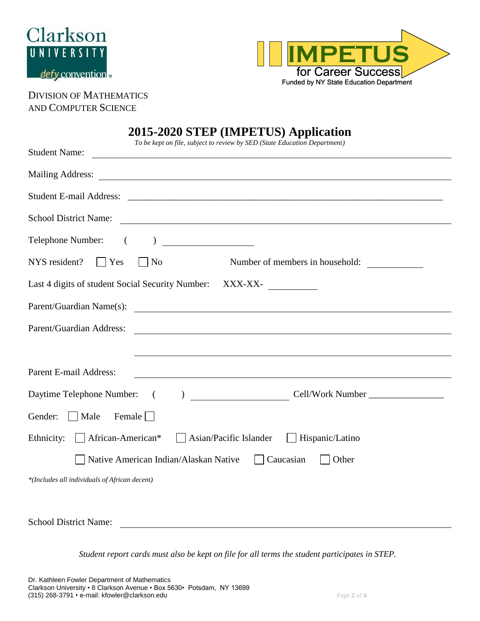



# **2015-2020 STEP (IMPETUS) Application**

| $3 - 2020$ of Eq. (liver Eq. Co) Application<br>To be kept on file, subject to review by SED (State Education Department)<br><b>Student Name:</b>    |
|------------------------------------------------------------------------------------------------------------------------------------------------------|
|                                                                                                                                                      |
|                                                                                                                                                      |
| <b>School District Name:</b><br><u> 2000 - Jan James James Barnett, amerikan bisa di sebagai pertama dan bagian pertama dan pertama di sebagai p</u> |
| Telephone Number: (                                                                                                                                  |
| NYS resident?<br>$\vert$ Yes<br>N <sub>o</sub><br>Number of members in household:                                                                    |
| Last 4 digits of student Social Security Number:<br>$XXX-XX-$                                                                                        |
| Parent/Guardian Name(s):<br><u> 1989 - Andrea Station Andrea Station (m. 1989)</u>                                                                   |
| Parent/Guardian Address:<br><u> 1980 - Johann Barbara, martxa amerikan bashkar (</u>                                                                 |
|                                                                                                                                                      |
| Parent E-mail Address:<br><u> 1989 - Johann Stoff, amerikansk politiker (d. 1989)</u>                                                                |
| Cell/Work Number<br>Daytime Telephone Number:<br>$\sqrt{2}$<br>$\lambda$                                                                             |
| Gender:<br>Male<br>Female                                                                                                                            |
| African-American*<br>Ethnicity:<br>Asian/Pacific Islander<br>Hispanic/Latino                                                                         |
| Native American Indian/Alaskan Native<br>Caucasian<br>Other                                                                                          |
| *(Includes all individuals of African decent)                                                                                                        |
|                                                                                                                                                      |

*Student report cards must also be kept on file for all terms the student participates in STEP.*

School District Name: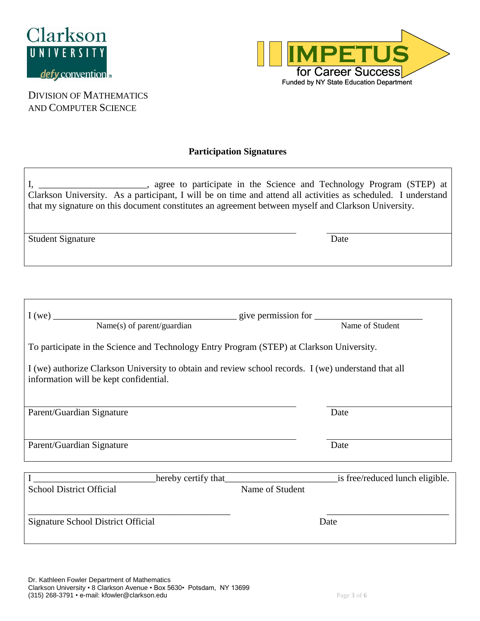



DIVISION OF MATHEMATICS AND COMPUTER SCIENCE

#### **Participation Signatures**

|                          | agree to participate in the Science and Technology Program (STEP) at<br>Clarkson University. As a participant, I will be on time and attend all activities as scheduled. I understand<br>that my signature on this document constitutes an agreement between myself and Clarkson University. |
|--------------------------|----------------------------------------------------------------------------------------------------------------------------------------------------------------------------------------------------------------------------------------------------------------------------------------------|
| <b>Student Signature</b> | Date                                                                                                                                                                                                                                                                                         |
|                          |                                                                                                                                                                                                                                                                                              |

| I(we)<br><u> 1980 - Johann Barbara, martin a</u>                                                                                               |                                 |  |  |  |
|------------------------------------------------------------------------------------------------------------------------------------------------|---------------------------------|--|--|--|
| Name(s) of parent/guardian                                                                                                                     | Name of Student                 |  |  |  |
| To participate in the Science and Technology Entry Program (STEP) at Clarkson University.                                                      |                                 |  |  |  |
| I (we) authorize Clarkson University to obtain and review school records. I (we) understand that all<br>information will be kept confidential. |                                 |  |  |  |
| Parent/Guardian Signature                                                                                                                      | Date                            |  |  |  |
| Parent/Guardian Signature                                                                                                                      | Date                            |  |  |  |
|                                                                                                                                                |                                 |  |  |  |
|                                                                                                                                                |                                 |  |  |  |
| hereby certify that_                                                                                                                           | is free/reduced lunch eligible. |  |  |  |
| <b>School District Official</b>                                                                                                                | Name of Student                 |  |  |  |
|                                                                                                                                                |                                 |  |  |  |
| Signature School District Official                                                                                                             | Date                            |  |  |  |
|                                                                                                                                                |                                 |  |  |  |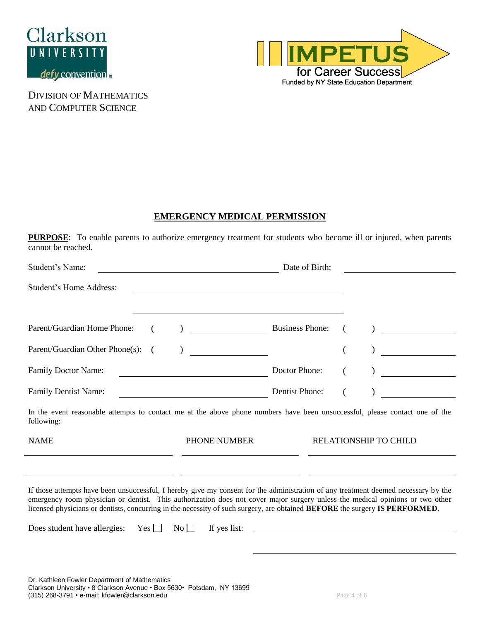



#### **EMERGENCY MEDICAL PERMISSION**

**PURPOSE**: To enable parents to authorize emergency treatment for students who become ill or injured, when parents cannot be reached.

| Student's Name:                                                                                                                                                                                                                                                                                                                                                                                    | <u> 1980 - Johann Barbara, martin d</u>                                                                         | Date of Birth:         |                                                                                                                                                                                                                                                                                                                                                                                                                                  |  |
|----------------------------------------------------------------------------------------------------------------------------------------------------------------------------------------------------------------------------------------------------------------------------------------------------------------------------------------------------------------------------------------------------|-----------------------------------------------------------------------------------------------------------------|------------------------|----------------------------------------------------------------------------------------------------------------------------------------------------------------------------------------------------------------------------------------------------------------------------------------------------------------------------------------------------------------------------------------------------------------------------------|--|
| <b>Student's Home Address:</b>                                                                                                                                                                                                                                                                                                                                                                     |                                                                                                                 |                        |                                                                                                                                                                                                                                                                                                                                                                                                                                  |  |
|                                                                                                                                                                                                                                                                                                                                                                                                    |                                                                                                                 |                        |                                                                                                                                                                                                                                                                                                                                                                                                                                  |  |
| Parent/Guardian Home Phone:<br>€                                                                                                                                                                                                                                                                                                                                                                   |                                                                                                                 | <b>Business Phone:</b> |                                                                                                                                                                                                                                                                                                                                                                                                                                  |  |
| Parent/Guardian Other Phone(s):                                                                                                                                                                                                                                                                                                                                                                    | $\overline{\phantom{a}}$                                                                                        |                        | $\overline{\phantom{a}}$ . The contract of $\overline{\phantom{a}}$ , $\overline{\phantom{a}}$ , $\overline{\phantom{a}}$ , $\overline{\phantom{a}}$ , $\overline{\phantom{a}}$ , $\overline{\phantom{a}}$ , $\overline{\phantom{a}}$ , $\overline{\phantom{a}}$ , $\overline{\phantom{a}}$ , $\overline{\phantom{a}}$ , $\overline{\phantom{a}}$ , $\overline{\phantom{a}}$ , $\overline{\phantom{a}}$ , $\overline{\phantom{a$ |  |
| <b>Family Doctor Name:</b>                                                                                                                                                                                                                                                                                                                                                                         | <u> 1989 - Johann John Stone, mars et al. 1999 - John Stone Barnett, fransk skrivetsk skrivetske staten i s</u> | Doctor Phone:          | <u>and a state of the state of the state of the state of the state of the state of the state of the state of the s</u>                                                                                                                                                                                                                                                                                                           |  |
| <b>Family Dentist Name:</b>                                                                                                                                                                                                                                                                                                                                                                        |                                                                                                                 | Dentist Phone:         |                                                                                                                                                                                                                                                                                                                                                                                                                                  |  |
| In the event reasonable attempts to contact me at the above phone numbers have been unsuccessful, please contact one of the<br>following:                                                                                                                                                                                                                                                          |                                                                                                                 |                        |                                                                                                                                                                                                                                                                                                                                                                                                                                  |  |
| <b>NAME</b>                                                                                                                                                                                                                                                                                                                                                                                        | PHONE NUMBER                                                                                                    |                        | RELATIONSHIP TO CHILD                                                                                                                                                                                                                                                                                                                                                                                                            |  |
|                                                                                                                                                                                                                                                                                                                                                                                                    |                                                                                                                 |                        |                                                                                                                                                                                                                                                                                                                                                                                                                                  |  |
| If those attempts have been unsuccessful, I hereby give my consent for the administration of any treatment deemed necessary by the<br>emergency room physician or dentist. This authorization does not cover major surgery unless the medical opinions or two other<br>licensed physicians or dentists, concurring in the necessity of such surgery, are obtained BEFORE the surgery IS PERFORMED. |                                                                                                                 |                        |                                                                                                                                                                                                                                                                                                                                                                                                                                  |  |
| Does student have allergies: $Yes \Box$                                                                                                                                                                                                                                                                                                                                                            | If yes list:<br>$\mathrm{No}$                                                                                   |                        |                                                                                                                                                                                                                                                                                                                                                                                                                                  |  |
|                                                                                                                                                                                                                                                                                                                                                                                                    |                                                                                                                 |                        |                                                                                                                                                                                                                                                                                                                                                                                                                                  |  |
|                                                                                                                                                                                                                                                                                                                                                                                                    |                                                                                                                 |                        |                                                                                                                                                                                                                                                                                                                                                                                                                                  |  |
| Dr. Kathleen Fowler Department of Mathematics                                                                                                                                                                                                                                                                                                                                                      |                                                                                                                 |                        |                                                                                                                                                                                                                                                                                                                                                                                                                                  |  |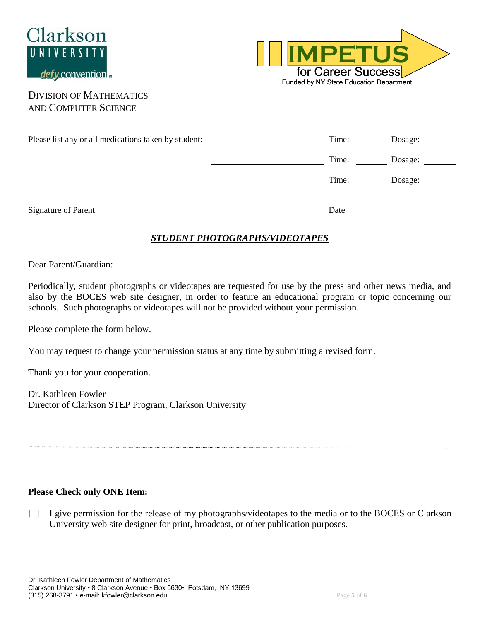



| Please list any or all medications taken by student: | Time: | Dosage: |
|------------------------------------------------------|-------|---------|
|                                                      | Time: | Dosage: |
|                                                      | Time: | Dosage: |
| <b>Signature of Parent</b>                           | Date  |         |

### *STUDENT PHOTOGRAPHS/VIDEOTAPES*

#### Dear Parent/Guardian:

Periodically, student photographs or videotapes are requested for use by the press and other news media, and also by the BOCES web site designer, in order to feature an educational program or topic concerning our schools. Such photographs or videotapes will not be provided without your permission.

Please complete the form below.

You may request to change your permission status at any time by submitting a revised form.

Thank you for your cooperation.

Dr. Kathleen Fowler Director of Clarkson STEP Program, Clarkson University

#### **Please Check only ONE Item:**

[ ] I give permission for the release of my photographs/videotapes to the media or to the BOCES or Clarkson University web site designer for print, broadcast, or other publication purposes.